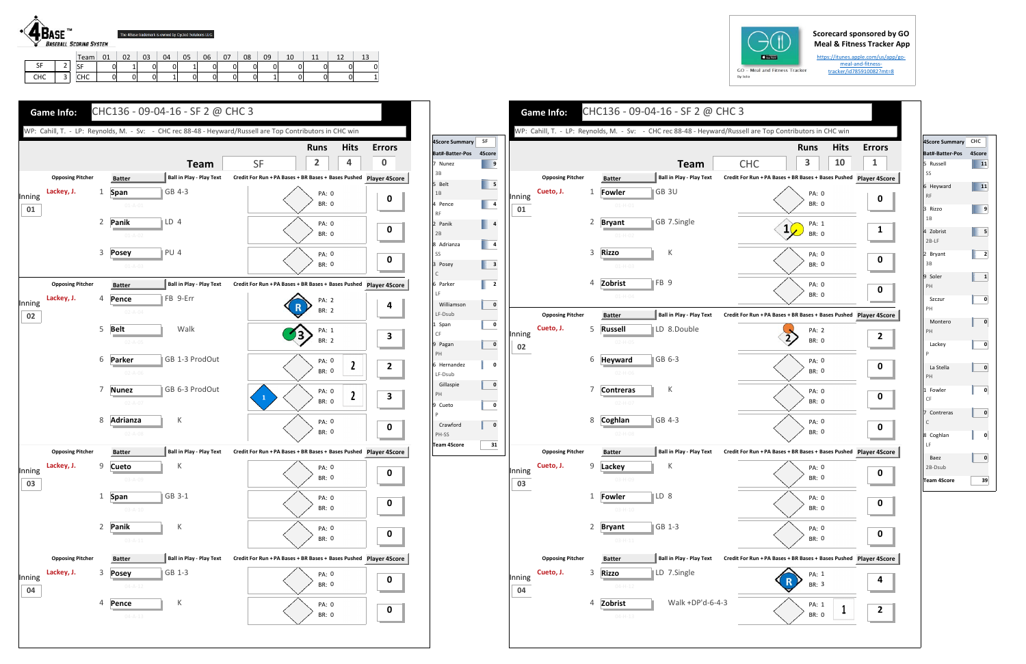## **Scorecard sponsored by GO Meal & Fitness Tracker App**

https://itunes.apple.com/us/app/go‐ meal-and-fitnesstracker/id785910082?mt=8



|                      |                          | Team      | 01 | 02 | 03 | 04 | 05 | 06 | 07 | 08 | 09 | 10 | 11<br>ᆠᆠ | <u>_</u> | ∸∼ |
|----------------------|--------------------------|-----------|----|----|----|----|----|----|----|----|----|----|----------|----------|----|
| C <sub>F</sub><br>э۴ | -<br>-                   | c r<br>DГ |    |    | ັ  | 01 |    | 0  | 01 |    |    | 0  | 01       |          |    |
| <b>CHC</b>           | $\overline{\phantom{a}}$ | СНС       |    |    | U  |    | 01 | 0  | 0  |    |    |    | 01       | 0        |    |









| 4Score Summary CHC          |        |
|-----------------------------|--------|
| Bat#-Batter-Pos             | 4Score |
| 5 Russell<br>SS             | 11     |
| 6 Heyward<br><b>RF</b>      | 11     |
| 3 Rizzo<br>1B               | 9      |
| 4 Zobrist<br>$2B-LF$        | 5      |
| 2 Bryant<br>3B              | 2      |
| 9 Soler<br>PH               | 1      |
| Szczur<br>PH                | 0      |
| Montero<br>PH               | 0      |
| Lackey<br>Þ                 | ٥      |
| La Stella<br>PH             | 0      |
| 1 Fowler<br>CF              | 0      |
| 7 Contreras<br>$\mathsf{C}$ | 0      |
| 8 Coghlan<br>LF             | 0      |
| Baez<br>2B-Dsub             | 0      |
| Team 4Score                 | 39     |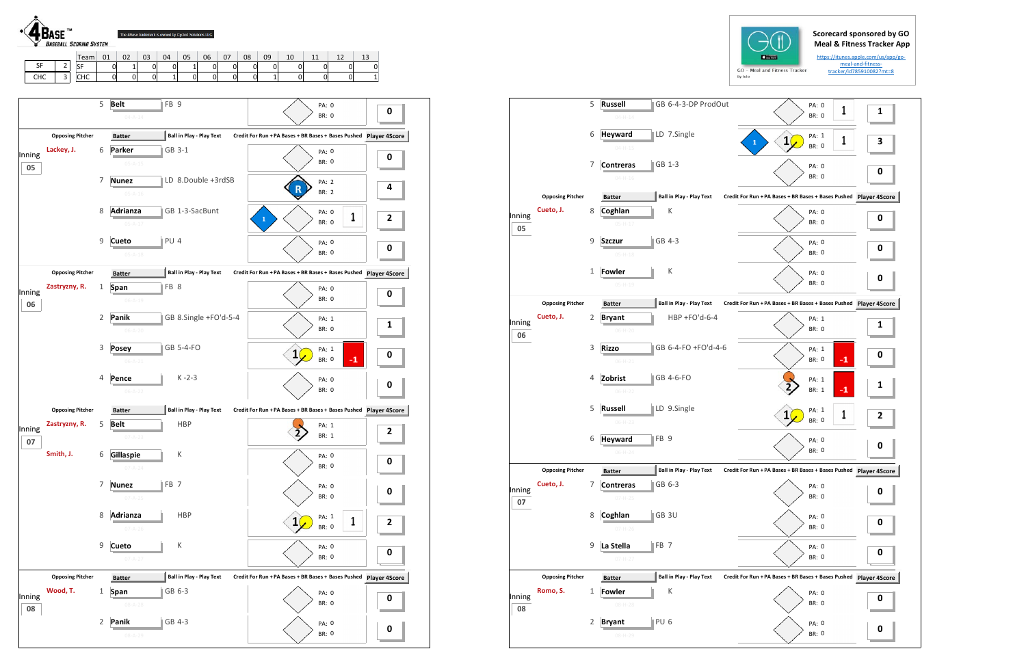



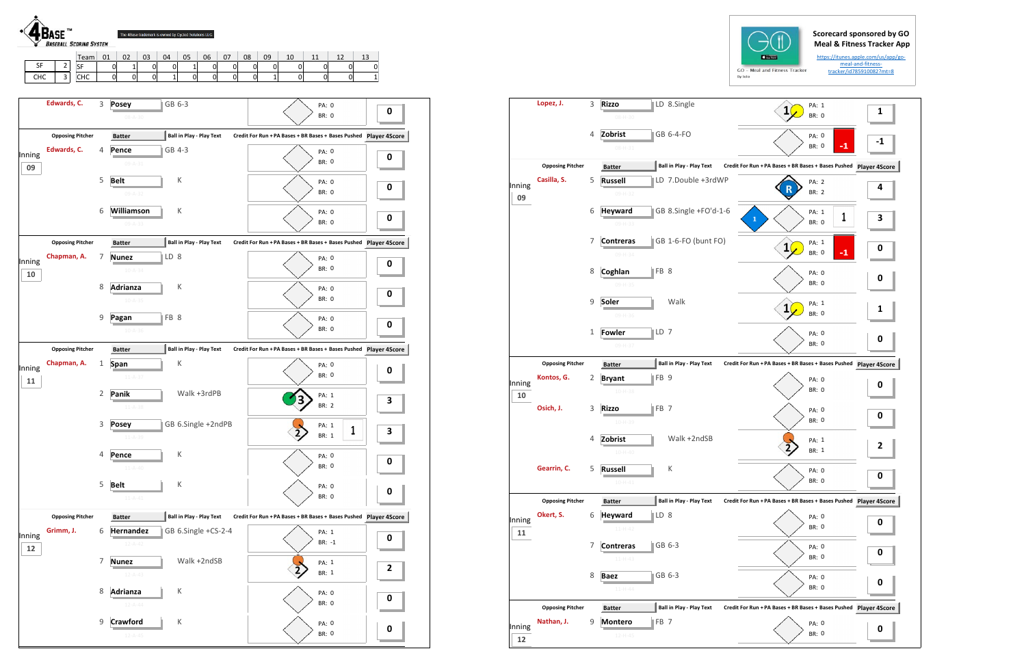**0**

**0**

**0**

**0**

**0**

 $\mathbf 0$ 



 $\mathbf 0$ 

**3**

**0**

**0**

**0**

**2**



**0**

**0**

BR: 0

|              |                         |              |                                                    |                                 | RA 1010                                                       |   |
|--------------|-------------------------|--------------|----------------------------------------------------|---------------------------------|---------------------------------------------------------------|---|
|              | Lopez, J.               | 3            | <b>Rizzo</b><br>08-H-30                            | LD 8.Single                     | PA: 1<br>$\mathbf{1}$<br><b>BR: 0</b>                         | 1 |
|              |                         | 4            | Zobrist<br>$08 - H - 31$                           | GB 6-4-FO                       | PA: 0<br>$-1$<br><b>BR: 0</b>                                 |   |
|              | <b>Opposing Pitcher</b> |              | <b>Batter</b>                                      | <b>Ball in Play - Play Text</b> | Credit For Run + PA Bases + BR Bases + Bases Pushed Player 4S |   |
| Inning<br>09 | Casilla, S.             | 5            | <b>Russell</b><br>09-H-32                          | LD 7.Double +3rdWP              | <b>PA: 2</b><br><b>BR: 2</b>                                  | 4 |
|              |                         | 6            | <b>Heyward</b><br>09-H-33                          | GB 8.Single +FO'd-1-6           | PA: 1<br>1<br>${\bf 1}$<br><b>BR: 0</b>                       | З |
|              |                         | 7            | <b>Contreras</b><br>09-H-34                        | GB 1-6-FO (bunt FO)             | PA: 1<br>1<br>$-1$<br><b>BR: 0</b>                            | 0 |
|              |                         | 8            | FB 8<br>Coghlan<br>09-H-35                         |                                 | PA: 0<br><b>BR: 0</b>                                         | 0 |
|              |                         | $\mathsf 9$  | Soler<br>09-H-36                                   | Walk                            | PA: 1<br><b>BR: 0</b>                                         | 1 |
|              |                         | $\mathbf{1}$ | LD 7<br>Fowler<br>09-H-37                          |                                 | PA: 0<br><b>BR: 0</b>                                         | 0 |
|              | <b>Opposing Pitcher</b> |              | <b>Batter</b>                                      | <b>Ball in Play - Play Text</b> | Credit For Run + PA Bases + BR Bases + Bases Pushed Player 4S |   |
| Inning<br>10 | Kontos, G.              | 2            | FB <sub>9</sub><br><b>Bryant</b><br>$10 - H - 38$  |                                 | PA: 0<br><b>BR: 0</b>                                         | 0 |
|              | Osich, J.               | 3            | FB <sub>7</sub><br><b>Rizzo</b><br>$10 - H - 39$   |                                 | PA: 0<br><b>BR: 0</b>                                         | 0 |
|              |                         | 4            | Zobrist                                            | Walk +2ndSB                     | PA: 1<br>2<br>BR: 1                                           | 2 |
|              | Gearrin, C.             | 5            | <b>Russell</b><br>$10 - H - 41$                    | К                               | PA: 0<br>BR: 0                                                | 0 |
|              | <b>Opposing Pitcher</b> |              | <b>Batter</b>                                      | <b>Ball in Play - Play Text</b> | Credit For Run + PA Bases + BR Bases + Bases Pushed Player 4S |   |
| Inning<br>11 | Okert, S.               | 6            | <b>Heyward</b><br>LD <sub>8</sub><br>$11 - H - 42$ |                                 | PA: 0<br>BR: 0                                                | 0 |
|              |                         | 7            | <b>Contreras</b><br>$11 - H - 43$                  | GB 6-3                          | PA: 0<br><b>BR: 0</b>                                         | 0 |
|              |                         | 8            | <b>Baez</b><br>$11 - H - 44$                       | GB 6-3                          | PA: 0<br><b>BR: 0</b>                                         | 0 |
|              | <b>Opposing Pitcher</b> |              | <b>Batter</b>                                      | <b>Ball in Play - Play Text</b> | Credit For Run + PA Bases + BR Bases + Bases Pushed Player 4S |   |
| Inning<br>12 | Nathan, J.              | 9            | FB <sub>7</sub><br><b>Montero</b><br>12-H-45       |                                 | PA: 0<br>BR: 0                                                | 0 |
|              |                         |              |                                                    |                                 |                                                               |   |